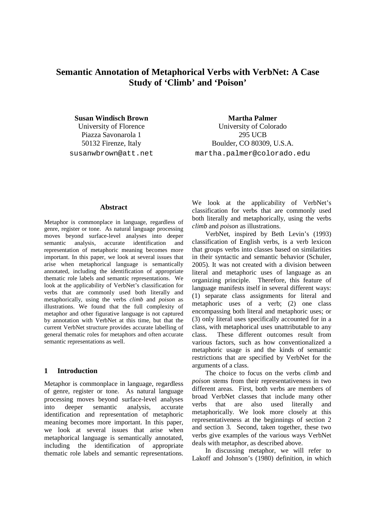# **Semantic Annotation of Metaphorical Verbs with VerbNet: A Case Study of 'Climb' and 'Poison'**

Piazza Savonarola 1 295 UCB

**Susan Windisch Brown Martha Palmer Martha Palmer** University of Florence University of Colorado 50132 Firenze, Italy Boulder, CO 80309, U.S.A. susanwbrown@att.net martha.palmer@colorado.edu

#### **Abstract**

Metaphor is commonplace in language, regardless of genre, register or tone. As natural language processing moves beyond surface-level analyses into deeper semantic analysis, accurate identification and representation of metaphoric meaning becomes more important. In this paper, we look at several issues that arise when metaphorical language is semantically annotated, including the identification of appropriate thematic role labels and semantic representations. We look at the applicability of VerbNet's classification for verbs that are commonly used both literally and metaphorically, using the verbs *climb* and *poison* as illustrations. We found that the full complexity of metaphor and other figurative language is not captured by annotation with VerbNet at this time, but that the current VerbNet structure provides accurate labelling of general thematic roles for metaphors and often accurate semantic representations as well.

# **1 Introduction**

Metaphor is commonplace in language, regardless of genre, register or tone. As natural language processing moves beyond surface-level analyses into deeper semantic analysis, accurate identification and representation of metaphoric meaning becomes more important. In this paper, we look at several issues that arise when metaphorical language is semantically annotated, including the identification of appropriate thematic role labels and semantic representations.

We look at the applicability of VerbNet's classification for verbs that are commonly used both literally and metaphorically, using the verbs *climb* and *poison* as illustrations.

VerbNet, inspired by Beth Levin's (1993) classification of English verbs, is a verb lexicon that groups verbs into classes based on similarities in their syntactic and semantic behavior (Schuler, 2005). It was not created with a division between literal and metaphoric uses of language as an organizing principle. Therefore, this feature of language manifests itself in several different ways: (1) separate class assignments for literal and metaphoric uses of a verb; (2) one class encompassing both literal and metaphoric uses; or (3) only literal uses specifically accounted for in a class, with metaphorical uses unattributable to any class. These different outcomes result from various factors, such as how conventionalized a metaphoric usage is and the kinds of semantic restrictions that are specified by VerbNet for the arguments of a class.

The choice to focus on the verbs *climb* and *poison* stems from their representativeness in two different areas. First, both verbs are members of broad VerbNet classes that include many other verbs that are also used literally and metaphorically. We look more closely at this representativeness at the beginnings of section 2 and section 3. Second, taken together, these two verbs give examples of the various ways VerbNet deals with metaphor, as described above.

In discussing metaphor, we will refer to Lakoff and Johnson's (1980) definition, in which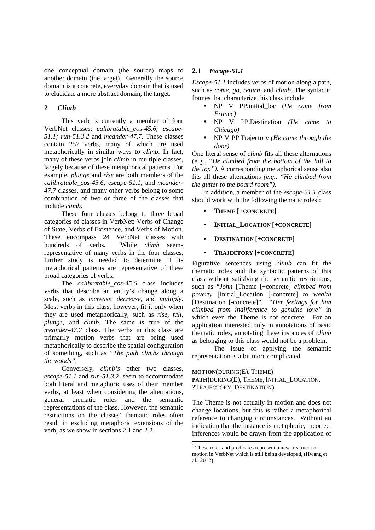one conceptual domain (the source) maps to another domain (the target). Generally the source domain is a concrete, everyday domain that is used to elucidate a more abstract domain, the target.

# **2** *Climb*

This verb is currently a member of four VerbNet classes: *calibratable\_cos-45.6; escape-51.1; run-51.3.2* and *meander-47.7*. These classes contain 257 verbs, many of which are used metaphorically in similar ways to *climb*. In fact, many of these verbs join *climb* in multiple classes, largely because of these metaphorical patterns. For example, *plunge* and *rise* are both members of the *calibratable\_cos-45.6; escape-51.1;* and *meander-47.7* classes, and many other verbs belong to some combination of two or three of the classes that include *climb*.

These four classes belong to three broad categories of classes in VerbNet: Verbs of Change of State, Verbs of Existence, and Verbs of Motion. These encompass 24 VerbNet classes with hundreds of verbs. While *climb* seems representative of many verbs in the four classes, further study is needed to determine if its metaphorical patterns are representative of these broad categories of verbs.

The *calibratable\_cos-45.6* class includes verbs that describe an entity's change along a scale, such as *increase, decrease,* and *multiply*. Most verbs in this class, however, fit it only when they are used metaphorically, such as *rise, fall, plunge,* and *climb*. The same is true of the *meander-47.7* class. The verbs in this class are primarily motion verbs that are being used metaphorically to describe the spatial configuration of something, such as *"The path climbs through the woods"*.

Conversely, *climb's* other two classes, *escape-51.1* and *run-51.3.*2, seem to accommodate both literal and metaphoric uses of their member verbs, at least when considering the alternations, general thematic roles and the semantic representations of the class. However, the semantic restrictions on the classes' thematic roles often result in excluding metaphoric extensions of the verb, as we show in sections 2.1 and 2.2.

# **2.1** *Escape-51.1*

*Escape-51.1* includes verbs of motion along a path, such as *come, go, return,* and *climb*. The syntactic frames that characterize this class include

- NP V PP.initial\_loc (*He came from France)*
- NP V PP.Destination *(He came to Chicago)*
- NP V PP.Trajectory *(He came through the door)*

One literal sense of *climb* fits all these alternations (e.g., *"He climbed from the bottom of the hill to the top").* A corresponding metaphorical sense also fits all these alternations *(e.g., "He climbed from the gutter to the board room").*

In addition, a member of the *escape-51.1* class should work with the following thematic roles<sup>1</sup>:

- **THEME [+CONCRETE]**
- **INITIAL\_LOCATION [+CONCRETE]**
- **DESTINATION [+CONCRETE]**
- **TRAJECTORY [+CONCRETE]**

Figurative sentences using *climb* can fit the thematic roles and the syntactic patterns of this class without satisfying the semantic restrictions, such as "*John* [Theme [+concrete] *climbed from poverty* [Initial\_Location [-concrete] *to wealth* [Destination [-concrete]". *"Her feelings for him climbed from indifference to genuine love"* in which even the Theme is not concrete. For an application interested only in annotations of basic thematic roles, annotating these instances of *climb* as belonging to this class would not be a problem.

The issue of applying the semantic representation is a bit more complicated.

**MOTION(**DURING(E), THEME**) PATH(**DURING(E), THEME, INITIAL\_LOCATION, ?TRAJECTORY, DESTINATION**)**

The Theme is not actually in motion and does not change locations, but this is rather a metaphorical reference to changing circumstances. Without an indication that the instance is metaphoric, incorrect inferences would be drawn from the application of

 1 These roles and predicates represent a new treatment of motion in VerbNet which is still being developed, (Hwang et al., 2012)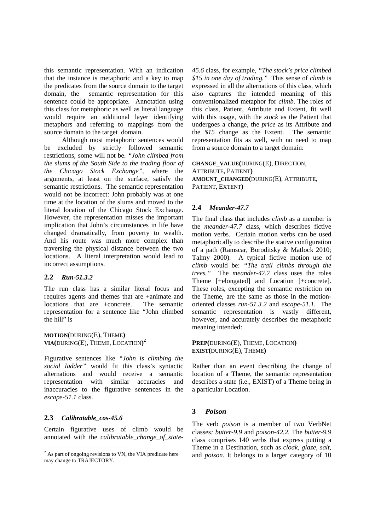this semantic representation. With an indication that the instance is metaphoric and a key to map the predicates from the source domain to the target domain, the semantic representation for this sentence could be appropriate. Annotation using this class for metaphoric as well as literal language would require an additional layer identifying metaphors and referring to mappings from the source domain to the target domain.

Although most metaphoric sentences would be excluded by strictly followed semantic restrictions, some will not be. *"John climbed from the slums of the South Side to the trading floor of the Chicago Stock Exchange",* where the arguments, at least on the surface, satisfy the semantic restrictions. The semantic representation would not be incorrect: John probably was at one time at the location of the slums and moved to the literal location of the Chicago Stock Exchange. However, the representation misses the important implication that John's circumstances in life have changed dramatically, from poverty to wealth. And his route was much more complex than traversing the physical distance between the two locations. A literal interpretation would lead to incorrect assumptions.

#### **2.2** *Run-51.3.2*

The run class has a similar literal focus and requires agents and themes that are +animate and locations that are +concrete. The semantic representation for a sentence like "John climbed the hill" is

**MOTION(**DURING(E), THEME**) VIA(**DURING(E), THEME, LOCATION**) 2**

Figurative sentences like *"John is climbing the social ladder"* would fit this class's syntactic alternations and would receive a semantic representation with similar accuracies and inaccuracies to the figurative sentences in the *escape-51.1* class.

# **2.3** *Calibratable\_cos-45.6*

Certain figurative uses of climb would be annotated with the *calibratable\_change\_of\_state-*

*45.6* class, for example, *"The stock's price climbed \$15 in one day of trading."* This sense of *climb* is expressed in all the alternations of this class, which also captures the intended meaning of this conventionalized metaphor for *climb*. The roles of this class, Patient, Attribute and Extent, fit well with this usage, with the *stock* as the Patient that undergoes a change, the *price* as its Attribute and the *\$15* change as the Extent. The semantic representation fits as well, with no need to map from a source domain to a target domain:

**CHANGE\_VALUE(**DURING(E), DIRECTION, ATTRIBUTE, PATIENT**) AMOUNT\_CHANGED(**DURING(E), ATTRIBUTE, PATIENT, EXTENT**)**

# **2.4** *Meander-47.7*

The final class that includes *climb* as a member is the *meander-47.7* class, which describes fictive motion verbs. Certain motion verbs can be used metaphorically to describe the stative configuration of a path (Ramscar, Boroditsky & Matlock 2010; Talmy 2000). A typical fictive motion use of *climb* would be: *"The trail climbs through the trees."* The *meander-47.7* class uses the roles Theme [+elongated] and Location [+concrete]. These roles, excepting the semantic restriction on the Theme, are the same as those in the motionoriented classes *run-51.3.2* and *escape-51.1.* The semantic representation is vastly different, however, and accurately describes the metaphoric meaning intended:

**PREP(**DURING(E), THEME, LOCATION**) EXIST(**DURING(E), THEME**)**

Rather than an event describing the change of location of a Theme, the semantic representation describes a state (i.e., EXIST) of a Theme being in a particular Location.

# **3** *Poison*

The verb *poison* is a member of two VerbNet classes*: butter-9.9* and *poison-42.2.* The *butter-9.9* class comprises 140 verbs that express putting a Theme in a Destination, such as *cloak, glaze, salt,* and *poison.* It belongs to a larger category of 10

<sup>&</sup>lt;sup>2</sup> As part of ongoing revisions to VN, the VIA predicate here may change to TRAJECTORY.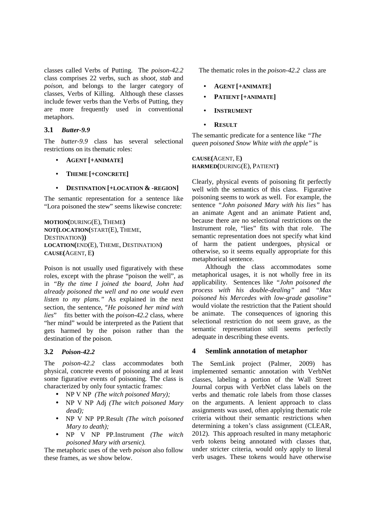classes called Verbs of Putting. The *poison-42.2* class comprises 22 verbs, such as *shoot, stab* and *poison,* and belongs to the larger category of classes, Verbs of Killing. Although these classes include fewer verbs than the Verbs of Putting, they are more frequently used in conventional metaphors.

#### **3.1** *Butter-9.9*

The *butter-9.9* class has several selectional restrictions on its thematic roles:

- **AGENT [+ANIMATE]**
- **THEME [+CONCRETE]**
- **DESTINATION [+LOCATION & -REGION]**

The semantic representation for a sentence like "Lora poisoned the stew" seems likewise concrete:

**MOTION(**DURING(E), THEME**) NOT(LOCATION(**START(E), THEME, DESTINATION**)) LOCATION(**END(E), THEME, DESTINATION**) CAUSE(**AGENT, E**)**

Poison is not usually used figuratively with these roles, except with the phrase "poison the well", as in *"By the time I joined the board, John had already poisoned the well and no one would even listen to my plans."* As explained in the next section, the sentence, "*He poisoned her mind with lies*" fits better with the *poison-42.2* class, where "her mind" would be interpreted as the Patient that gets harmed by the poison rather than the destination of the poison.

# **3.2** *Poison-42.2*

The *poison-42.2* class accommodates both physical, concrete events of poisoning and at least some figurative events of poisoning. The class is characterized by only four syntactic frames:

- NP V NP *(The witch poisoned Mary);*
- NP V NP Adj *(The witch poisoned Mary dead);*
- NP V NP PP.Result *(The witch poisoned Mary to death);*
- NP V NP PP.Instrument *(The witch poisoned Mary with arsenic).*

The metaphoric uses of the verb *poison* also follow these frames, as we show below.

The thematic roles in the *poison-42.2* class are

- **AGENT [+ANIMATE]**
- **PATIENT [+ANIMATE]**
- **INSTRUMENT**
- **RESULT**

The semantic predicate for a sentence like *"The queen poisoned Snow White with the apple"* is

**CAUSE(**AGENT, E**) HARMED(**DURING(E), PATIENT**)** 

Clearly, physical events of poisoning fit perfectly well with the semantics of this class. Figurative poisoning seems to work as well. For example, the sentence *"John poisoned Mary with his lies"* has an animate Agent and an animate Patient and, because there are no selectional restrictions on the Instrument role, "lies" fits with that role. The semantic representation does not specify what kind of harm the patient undergoes, physical or otherwise, so it seems equally appropriate for this metaphorical sentence.

Although the class accommodates some metaphorical usages, it is not wholly free in its applicability. Sentences like *"John poisoned the process with his double-dealing"* and *"Max poisoned his Mercedes with low-grade gasoline"*  would violate the restriction that the Patient should be animate. The consequences of ignoring this selectional restriction do not seem grave, as the semantic representation still seems perfectly adequate in describing these events.

# **4 Semlink annotation of metaphor**

The SemLink project (Palmer, 2009) has implemented semantic annotation with VerbNet classes, labeling a portion of the Wall Street Journal corpus with VerbNet class labels on the verbs and thematic role labels from those classes on the arguments. A lenient approach to class assignments was used, often applying thematic role criteria without their semantic restrictions when determining a token's class assignment (CLEAR, 2012). This approach resulted in many metaphoric verb tokens being annotated with classes that, under stricter criteria, would only apply to literal verb usages. These tokens would have otherwise